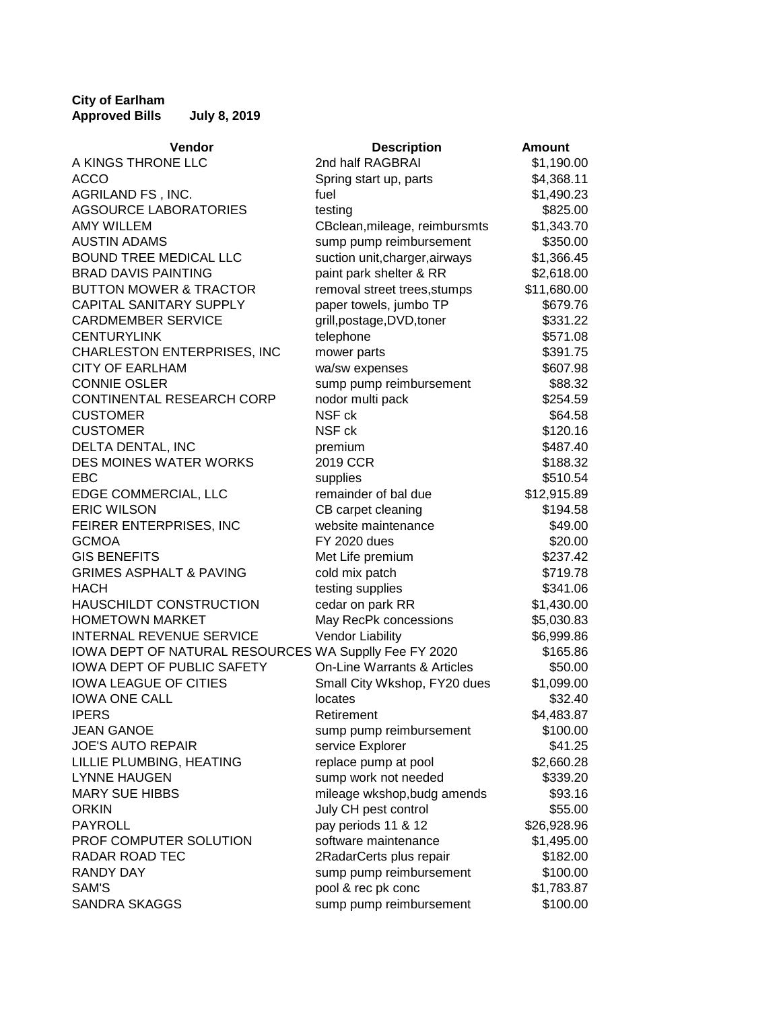## **City of Earlham Approved Bills July 8, 2019**

| Vendor                                                | <b>Description</b>             | <b>Amount</b> |
|-------------------------------------------------------|--------------------------------|---------------|
| A KINGS THRONE LLC                                    | 2nd half RAGBRAI               | \$1,190.00    |
| <b>ACCO</b>                                           | Spring start up, parts         | \$4,368.11    |
| AGRILAND FS, INC.                                     | fuel                           | \$1,490.23    |
| <b>AGSOURCE LABORATORIES</b>                          | testing                        | \$825.00      |
| <b>AMY WILLEM</b>                                     | CBclean, mileage, reimbursmts  | \$1,343.70    |
| <b>AUSTIN ADAMS</b>                                   | sump pump reimbursement        | \$350.00      |
| <b>BOUND TREE MEDICAL LLC</b>                         | suction unit, charger, airways | \$1,366.45    |
| <b>BRAD DAVIS PAINTING</b>                            | paint park shelter & RR        | \$2,618.00    |
| <b>BUTTON MOWER &amp; TRACTOR</b>                     | removal street trees, stumps   | \$11,680.00   |
| <b>CAPITAL SANITARY SUPPLY</b>                        | paper towels, jumbo TP         | \$679.76      |
| <b>CARDMEMBER SERVICE</b>                             | grill, postage, DVD, toner     | \$331.22      |
| <b>CENTURYLINK</b>                                    | telephone                      | \$571.08      |
| CHARLESTON ENTERPRISES, INC                           | mower parts                    | \$391.75      |
| <b>CITY OF EARLHAM</b>                                | wa/sw expenses                 | \$607.98      |
| <b>CONNIE OSLER</b>                                   | sump pump reimbursement        | \$88.32       |
| CONTINENTAL RESEARCH CORP                             | nodor multi pack               | \$254.59      |
| <b>CUSTOMER</b>                                       | NSF ck                         | \$64.58       |
| <b>CUSTOMER</b>                                       | NSF ck                         | \$120.16      |
| DELTA DENTAL, INC                                     | premium                        | \$487.40      |
| DES MOINES WATER WORKS                                | 2019 CCR                       | \$188.32      |
| EBC                                                   | supplies                       | \$510.54      |
| EDGE COMMERCIAL, LLC                                  | remainder of bal due           | \$12,915.89   |
| <b>ERIC WILSON</b>                                    | CB carpet cleaning             | \$194.58      |
| FEIRER ENTERPRISES, INC                               | website maintenance            | \$49.00       |
| <b>GCMOA</b>                                          | <b>FY 2020 dues</b>            | \$20.00       |
| <b>GIS BENEFITS</b>                                   | Met Life premium               | \$237.42      |
| <b>GRIMES ASPHALT &amp; PAVING</b>                    | cold mix patch                 | \$719.78      |
| <b>HACH</b>                                           | testing supplies               | \$341.06      |
| HAUSCHILDT CONSTRUCTION                               | cedar on park RR               | \$1,430.00    |
| <b>HOMETOWN MARKET</b>                                | May RecPk concessions          | \$5,030.83    |
| <b>INTERNAL REVENUE SERVICE</b>                       | <b>Vendor Liability</b>        | \$6,999.86    |
| IOWA DEPT OF NATURAL RESOURCES WA Supplly Fee FY 2020 |                                | \$165.86      |
| IOWA DEPT OF PUBLIC SAFETY                            | On-Line Warrants & Articles    | \$50.00       |
| <b>IOWA LEAGUE OF CITIES</b>                          | Small City Wkshop, FY20 dues   | \$1,099.00    |
| <b>IOWA ONE CALL</b>                                  | locates                        | \$32.40       |
| <b>IPERS</b>                                          | Retirement                     | \$4,483.87    |
| <b>JEAN GANOE</b>                                     | sump pump reimbursement        | \$100.00      |
| <b>JOE'S AUTO REPAIR</b>                              | service Explorer               | \$41.25       |
| LILLIE PLUMBING, HEATING                              | replace pump at pool           | \$2,660.28    |
| <b>LYNNE HAUGEN</b>                                   | sump work not needed           | \$339.20      |
| <b>MARY SUE HIBBS</b>                                 | mileage wkshop, budg amends    | \$93.16       |
| <b>ORKIN</b>                                          | July CH pest control           | \$55.00       |
| <b>PAYROLL</b>                                        | pay periods 11 & 12            | \$26,928.96   |
| PROF COMPUTER SOLUTION                                | software maintenance           | \$1,495.00    |
| <b>RADAR ROAD TEC</b>                                 | 2RadarCerts plus repair        | \$182.00      |
| <b>RANDY DAY</b>                                      | sump pump reimbursement        | \$100.00      |
| SAM'S                                                 | pool & rec pk conc             | \$1,783.87    |
| <b>SANDRA SKAGGS</b>                                  | sump pump reimbursement        | \$100.00      |
|                                                       |                                |               |